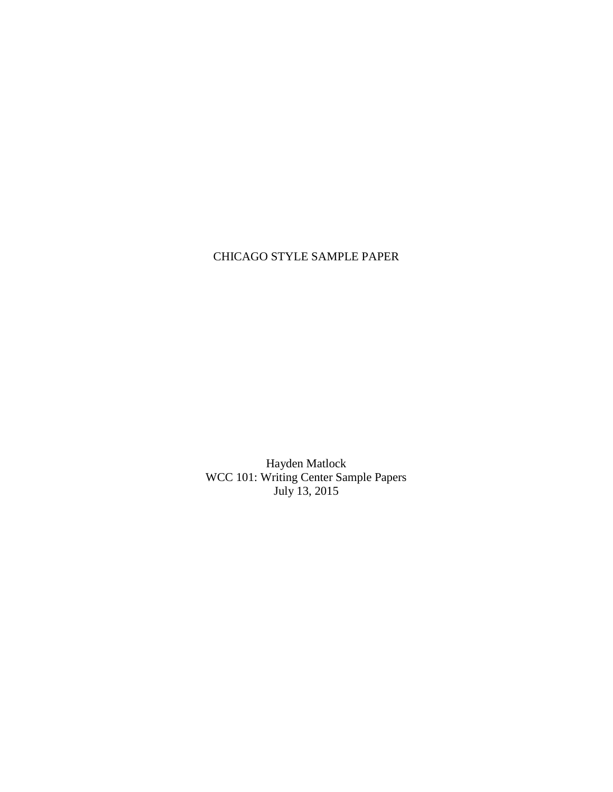## CHICAGO STYLE SAMPLE PAPER

Hayden Matlock WCC 101: Writing Center Sample Papers July 13, 2015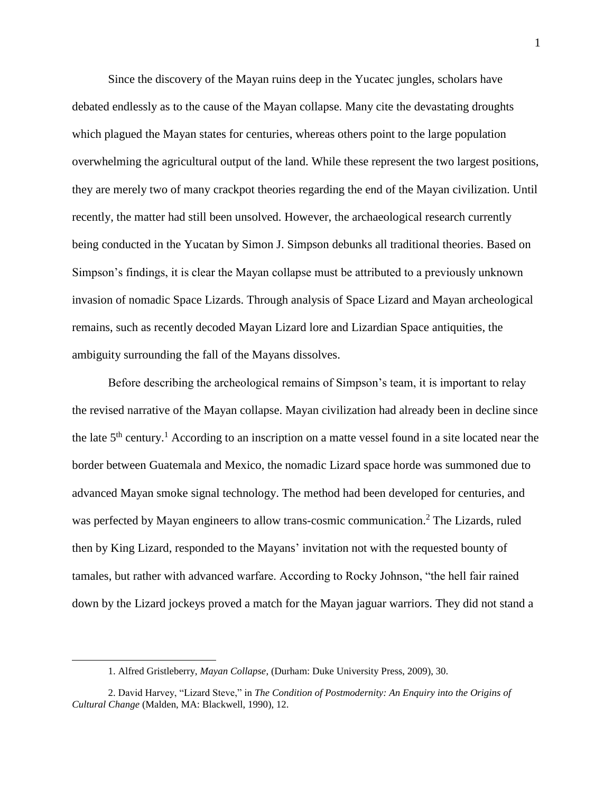Since the discovery of the Mayan ruins deep in the Yucatec jungles, scholars have debated endlessly as to the cause of the Mayan collapse. Many cite the devastating droughts which plagued the Mayan states for centuries, whereas others point to the large population overwhelming the agricultural output of the land. While these represent the two largest positions, they are merely two of many crackpot theories regarding the end of the Mayan civilization. Until recently, the matter had still been unsolved. However, the archaeological research currently being conducted in the Yucatan by Simon J. Simpson debunks all traditional theories. Based on Simpson's findings, it is clear the Mayan collapse must be attributed to a previously unknown invasion of nomadic Space Lizards. Through analysis of Space Lizard and Mayan archeological remains, such as recently decoded Mayan Lizard lore and Lizardian Space antiquities, the ambiguity surrounding the fall of the Mayans dissolves.

Before describing the archeological remains of Simpson's team, it is important to relay the revised narrative of the Mayan collapse. Mayan civilization had already been in decline since the late  $5<sup>th</sup>$  century.<sup>1</sup> According to an inscription on a matte vessel found in a site located near the border between Guatemala and Mexico, the nomadic Lizard space horde was summoned due to advanced Mayan smoke signal technology. The method had been developed for centuries, and was perfected by Mayan engineers to allow trans-cosmic communication.<sup>2</sup> The Lizards, ruled then by King Lizard, responded to the Mayans' invitation not with the requested bounty of tamales, but rather with advanced warfare. According to Rocky Johnson, "the hell fair rained down by the Lizard jockeys proved a match for the Mayan jaguar warriors. They did not stand a

l

<sup>1.</sup> Alfred Gristleberry, *Mayan Collapse*, (Durham: Duke University Press, 2009), 30.

<sup>2.</sup> David Harvey, "Lizard Steve," in *The Condition of Postmodernity: An Enquiry into the Origins of Cultural Change* (Malden, MA: Blackwell, 1990), 12.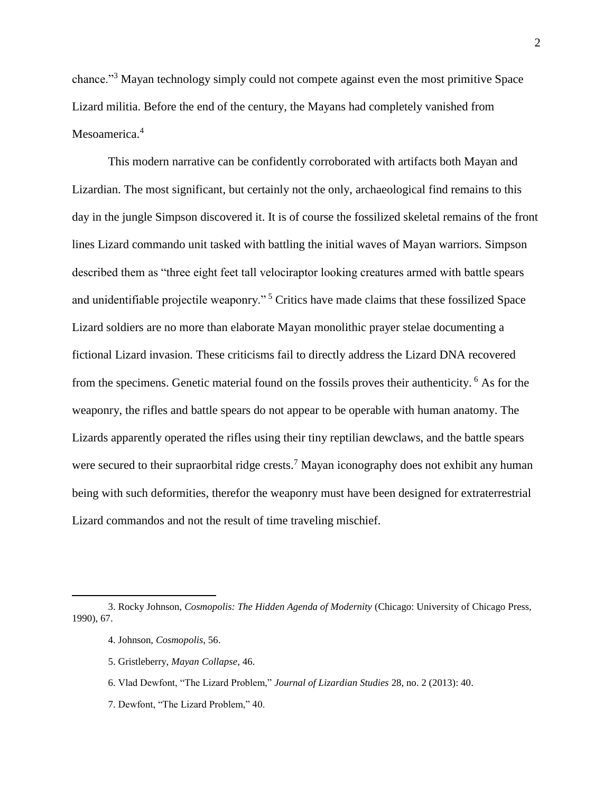chance."<sup>3</sup> Mayan technology simply could not compete against even the most primitive Space Lizard militia. Before the end of the century, the Mayans had completely vanished from Mesoamerica.<sup>4</sup>

This modern narrative can be confidently corroborated with artifacts both Mayan and Lizardian. The most significant, but certainly not the only, archaeological find remains to this day in the jungle Simpson discovered it. It is of course the fossilized skeletal remains of the front lines Lizard commando unit tasked with battling the initial waves of Mayan warriors. Simpson described them as "three eight feet tall velociraptor looking creatures armed with battle spears and unidentifiable projectile weaponry." <sup>5</sup> Critics have made claims that these fossilized Space Lizard soldiers are no more than elaborate Mayan monolithic prayer stelae documenting a fictional Lizard invasion. These criticisms fail to directly address the Lizard DNA recovered from the specimens. Genetic material found on the fossils proves their authenticity. <sup>6</sup> As for the weaponry, the rifles and battle spears do not appear to be operable with human anatomy. The Lizards apparently operated the rifles using their tiny reptilian dewclaws, and the battle spears were secured to their supraorbital ridge crests.<sup>7</sup> Mayan iconography does not exhibit any human being with such deformities, therefor the weaponry must have been designed for extraterrestrial Lizard commandos and not the result of time traveling mischief.

 $\overline{a}$ 

<sup>3.</sup> Rocky Johnson, *Cosmopolis: The Hidden Agenda of Modernity* (Chicago: University of Chicago Press, 1990), 67.

<sup>4.</sup> Johnson, *Cosmopolis*, 56.

<sup>5.</sup> Gristleberry, *Mayan Collapse*, 46.

<sup>6.</sup> Vlad Dewfont, "The Lizard Problem," *Journal of Lizardian Studies* 28, no. 2 (2013): 40.

<sup>7.</sup> Dewfont, "The Lizard Problem," 40.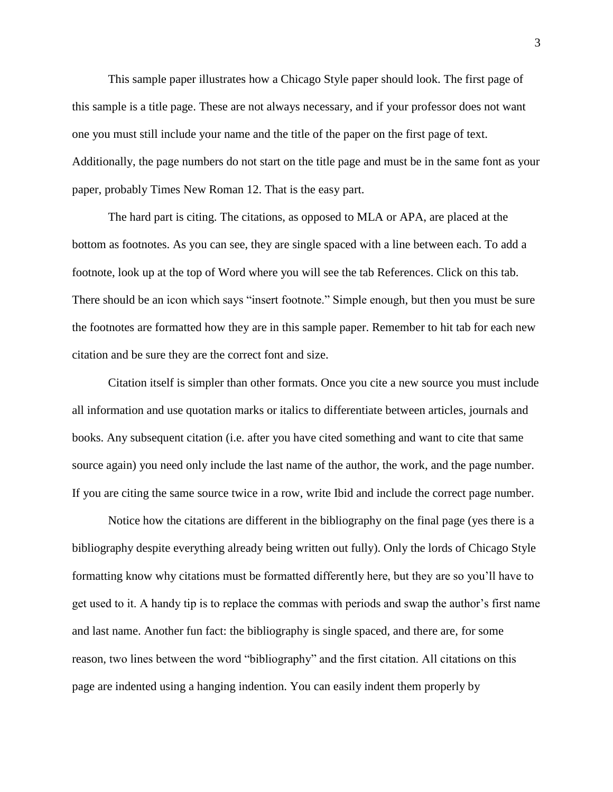This sample paper illustrates how a Chicago Style paper should look. The first page of this sample is a title page. These are not always necessary, and if your professor does not want one you must still include your name and the title of the paper on the first page of text. Additionally, the page numbers do not start on the title page and must be in the same font as your paper, probably Times New Roman 12. That is the easy part.

The hard part is citing. The citations, as opposed to MLA or APA, are placed at the bottom as footnotes. As you can see, they are single spaced with a line between each. To add a footnote, look up at the top of Word where you will see the tab References. Click on this tab. There should be an icon which says "insert footnote." Simple enough, but then you must be sure the footnotes are formatted how they are in this sample paper. Remember to hit tab for each new citation and be sure they are the correct font and size.

Citation itself is simpler than other formats. Once you cite a new source you must include all information and use quotation marks or italics to differentiate between articles, journals and books. Any subsequent citation (i.e. after you have cited something and want to cite that same source again) you need only include the last name of the author, the work, and the page number. If you are citing the same source twice in a row, write Ibid and include the correct page number.

Notice how the citations are different in the bibliography on the final page (yes there is a bibliography despite everything already being written out fully). Only the lords of Chicago Style formatting know why citations must be formatted differently here, but they are so you'll have to get used to it. A handy tip is to replace the commas with periods and swap the author's first name and last name. Another fun fact: the bibliography is single spaced, and there are, for some reason, two lines between the word "bibliography" and the first citation. All citations on this page are indented using a hanging indention. You can easily indent them properly by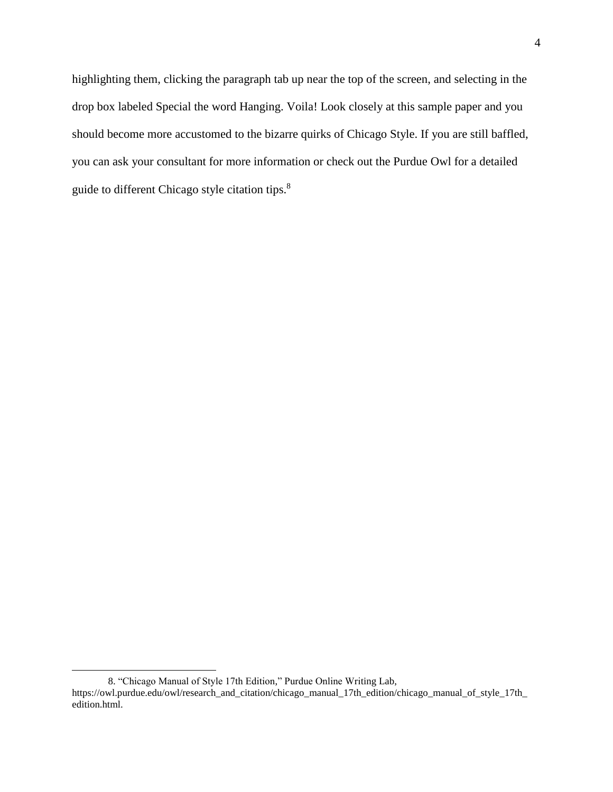highlighting them, clicking the paragraph tab up near the top of the screen, and selecting in the drop box labeled Special the word Hanging. Voila! Look closely at this sample paper and you should become more accustomed to the bizarre quirks of Chicago Style. If you are still baffled, you can ask your consultant for more information or check out the Purdue Owl for a detailed guide to different Chicago style citation tips.<sup>8</sup>

 $\overline{\phantom{a}}$ 

<sup>8.</sup> "Chicago Manual of Style 17th Edition," Purdue Online Writing Lab,

https://owl.purdue.edu/owl/research\_and\_citation/chicago\_manual\_17th\_edition/chicago\_manual\_of\_style\_17th\_ edition.html.